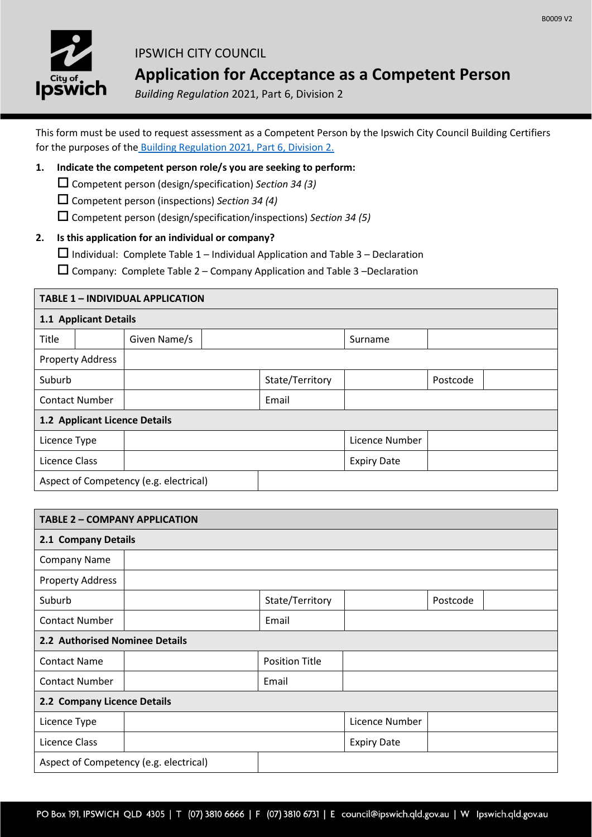

# IPSWICH CITY COUNCIL **Application for Acceptance as a Competent Person**

*Building Regulation* 2021, Part 6, Division 2

This form must be used to request assessment as a Competent Person by the Ipswich City Council Building Certifiers for the purposes of the [Building Regulation 2021, Part 6, Division 2.](https://www.legislation.qld.gov.au/view/pdf/inforce/current/sl-2021-0126)

### **1. Indicate the competent person role/s you are seeking to perform:**

- Competent person (design/specification) *Section 34 (3)*
- Competent person (inspections) *Section 34 (4)*
- Competent person (design/specification/inspections) *Section 34 (5)*

### **2. Is this application for an individual or company?**

 $\Box$  Individual: Complete Table 1 – Individual Application and Table 3 – Declaration

 $\square$  Company: Complete Table 2 – Company Application and Table 3 –Declaration

## **TABLE 1 – INDIVIDUAL APPLICATION**

| 1.1 Applicant Details                  |                         |              |  |                 |                    |          |  |  |
|----------------------------------------|-------------------------|--------------|--|-----------------|--------------------|----------|--|--|
| Title                                  |                         | Given Name/s |  |                 | Surname            |          |  |  |
|                                        | <b>Property Address</b> |              |  |                 |                    |          |  |  |
| Suburb                                 |                         |              |  | State/Territory |                    | Postcode |  |  |
| <b>Contact Number</b>                  |                         |              |  | Email           |                    |          |  |  |
| 1.2 Applicant Licence Details          |                         |              |  |                 |                    |          |  |  |
| Licence Type                           |                         |              |  |                 | Licence Number     |          |  |  |
| Licence Class                          |                         |              |  |                 | <b>Expiry Date</b> |          |  |  |
| Aspect of Competency (e.g. electrical) |                         |              |  |                 |                    |          |  |  |

| <b>TABLE 2 - COMPANY APPLICATION</b>   |  |                       |                    |          |  |  |  |  |
|----------------------------------------|--|-----------------------|--------------------|----------|--|--|--|--|
| 2.1 Company Details                    |  |                       |                    |          |  |  |  |  |
| <b>Company Name</b>                    |  |                       |                    |          |  |  |  |  |
| <b>Property Address</b>                |  |                       |                    |          |  |  |  |  |
| Suburb                                 |  | State/Territory       |                    | Postcode |  |  |  |  |
| <b>Contact Number</b>                  |  | Email                 |                    |          |  |  |  |  |
| 2.2 Authorised Nominee Details         |  |                       |                    |          |  |  |  |  |
| <b>Contact Name</b>                    |  | <b>Position Title</b> |                    |          |  |  |  |  |
| <b>Contact Number</b>                  |  | Email                 |                    |          |  |  |  |  |
| 2.2 Company Licence Details            |  |                       |                    |          |  |  |  |  |
| Licence Type                           |  |                       | Licence Number     |          |  |  |  |  |
| Licence Class                          |  |                       | <b>Expiry Date</b> |          |  |  |  |  |
| Aspect of Competency (e.g. electrical) |  |                       |                    |          |  |  |  |  |